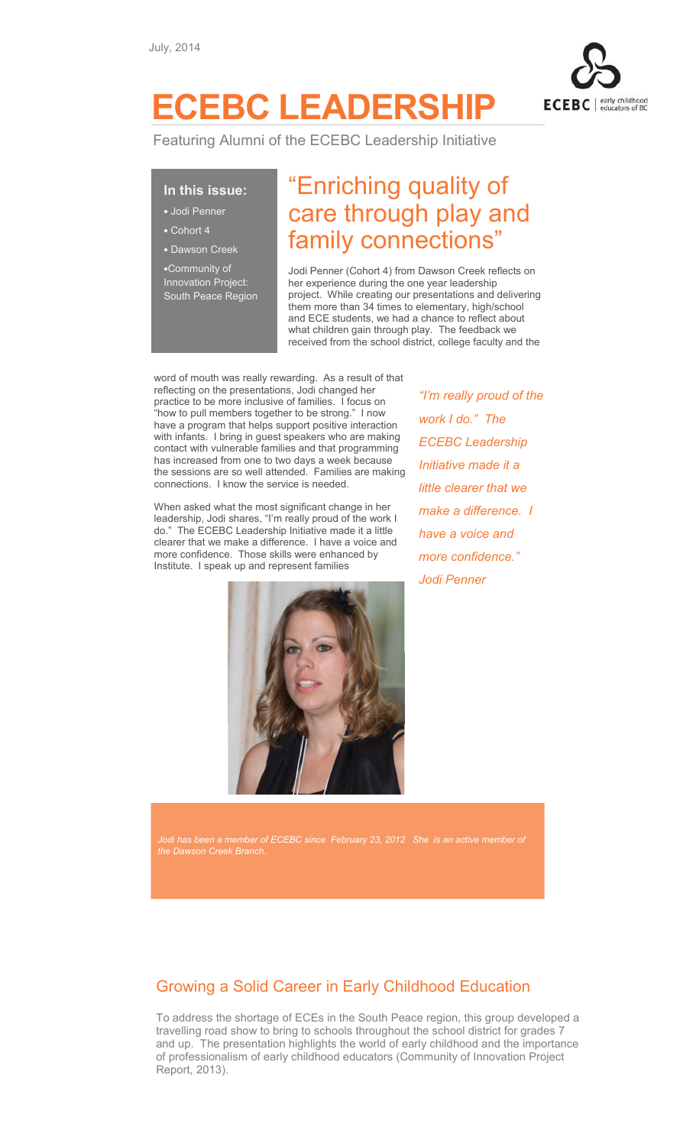

# ECEBC LEADERSHIP

Featuring Alumni of the ECEBC Leadership Initiative

## In this issue:

- Jodi Penner
- Cohort 4
- Dawson Creek

•Community of Innovation Project: South Peace Region

## "Enriching quality of care through play and family connections"

Jodi Penner (Cohort 4) from Dawson Creek reflects on her experience during the one year leadership project. While creating our presentations and delivering them more than 34 times to elementary, high/school and ECE students, we had a chance to reflect about what children gain through play. The feedback we received from the school district, college faculty and the

word of mouth was really rewarding. As a result of that reflecting on the presentations, Jodi changed her practice to be more inclusive of families. I focus on "how to pull members together to be strong." I now have a program that helps support positive interaction with infants. I bring in guest speakers who are making contact with vulnerable families and that programming has increased from one to two days a week because the sessions are so well attended. Families are making connections. I know the service is needed.

When asked what the most significant change in her leadership, Jodi shares, "I'm really proud of the work I do." The ECEBC Leadership Initiative made it a little clearer that we make a difference. I have a voice and more confidence. Those skills were enhanced by Institute. I speak up and represent families



"I'm really proud of the work I do." The ECEBC Leadership Initiative made it a little clearer that we make a difference. I have a voice and more confidence." Jodi Penner

 $\mathfrak j$  has been a member of ECEBC since February 23, 2012  $\,$  She  $\,$  is an active member of

## Growing a Solid Career in Early Childhood Education

To address the shortage of ECEs in the South Peace region, this group developed a travelling road show to bring to schools throughout the school district for grades 7 and up. The presentation highlights the world of early childhood and the importance of professionalism of early childhood educators (Community of Innovation Project Report, 2013).